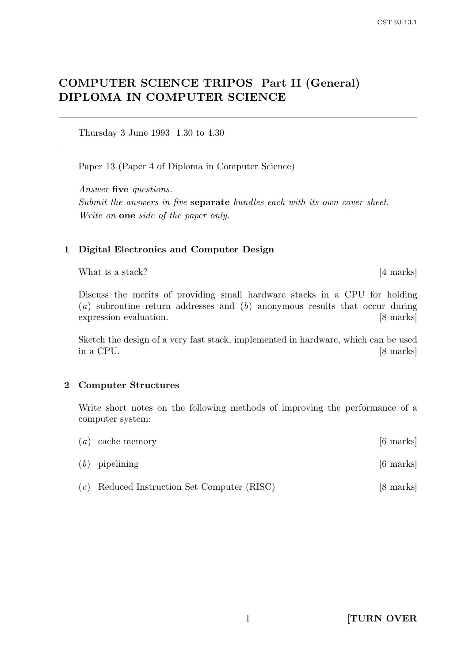# COMPUTER SCIENCE TRIPOS Part II (General) DIPLOMA IN COMPUTER SCIENCE

Thursday 3 June 1993 1.30 to 4.30

Paper 13 (Paper 4 of Diploma in Computer Science)

Answer five questions. Submit the answers in five **separate** bundles each with its own cover sheet. Write on **one** side of the paper only.

#### 1 Digital Electronics and Computer Design

What is a stack? [4 marks]

Discuss the merits of providing small hardware stacks in a CPU for holding  $(a)$  subroutine return addresses and  $(b)$  anonymous results that occur during expression evaluation. [8 marks]

Sketch the design of a very fast stack, implemented in hardware, which can be used in a CPU. [8 marks]

#### 2 Computer Structures

Write short notes on the following methods of improving the performance of a computer system:

| $(a)$ cache memory                            | $[6 \text{ marks}]$ |
|-----------------------------------------------|---------------------|
| $(b)$ pipelining                              | $[6 \text{ marks}]$ |
| $(c)$ Reduced Instruction Set Computer (RISC) | [8 marks]           |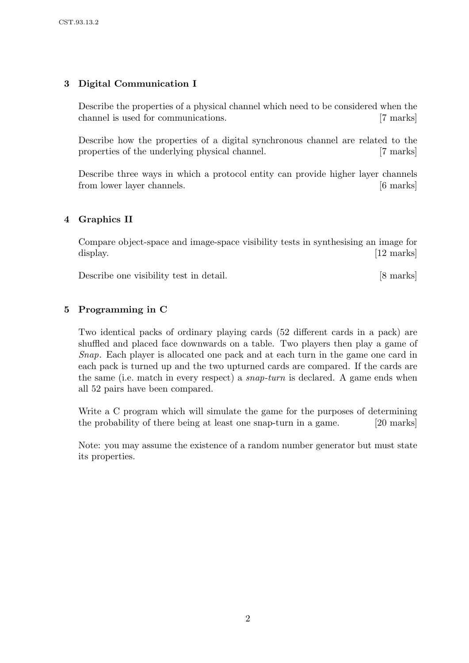## 3 Digital Communication I

Describe the properties of a physical channel which need to be considered when the channel is used for communications. [7 marks]

Describe how the properties of a digital synchronous channel are related to the properties of the underlying physical channel. [7 marks]

Describe three ways in which a protocol entity can provide higher layer channels from lower layer channels. [6 marks]

## 4 Graphics II

Compare object-space and image-space visibility tests in synthesising an image for display. [12 marks]

Describe one visibility test in detail. [8 marks]

## 5 Programming in C

Two identical packs of ordinary playing cards (52 different cards in a pack) are shuffled and placed face downwards on a table. Two players then play a game of Snap. Each player is allocated one pack and at each turn in the game one card in each pack is turned up and the two upturned cards are compared. If the cards are the same (i.e. match in every respect) a snap-turn is declared. A game ends when all 52 pairs have been compared.

Write a C program which will simulate the game for the purposes of determining the probability of there being at least one snap-turn in a game. [20 marks]

Note: you may assume the existence of a random number generator but must state its properties.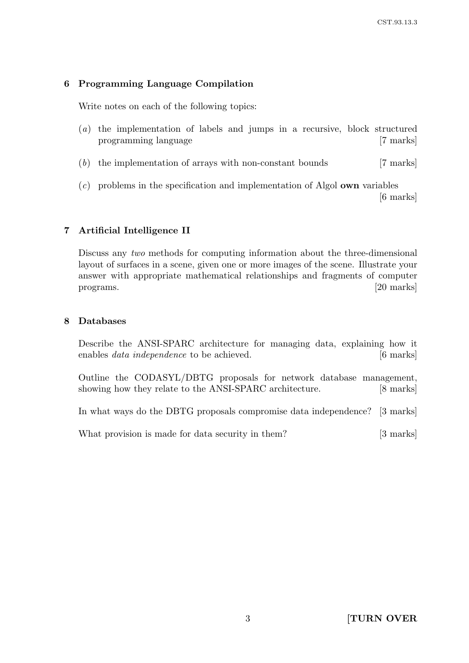#### 6 Programming Language Compilation

Write notes on each of the following topics:

- (a) the implementation of labels and jumps in a recursive, block structured programming language [7 marks]
- (b) the implementation of arrays with non-constant bounds [7 marks]
- (c) problems in the specification and implementation of Algol own variables [6 marks]

### 7 Artificial Intelligence II

Discuss any two methods for computing information about the three-dimensional layout of surfaces in a scene, given one or more images of the scene. Illustrate your answer with appropriate mathematical relationships and fragments of computer programs. [20 marks]

#### 8 Databases

Describe the ANSI-SPARC architecture for managing data, explaining how it enables *data independence* to be achieved. [6 marks]

Outline the CODASYL/DBTG proposals for network database management, showing how they relate to the ANSI-SPARC architecture. [8 marks]

In what ways do the DBTG proposals compromise data independence? [3 marks]

What provision is made for data security in them? [3 marks]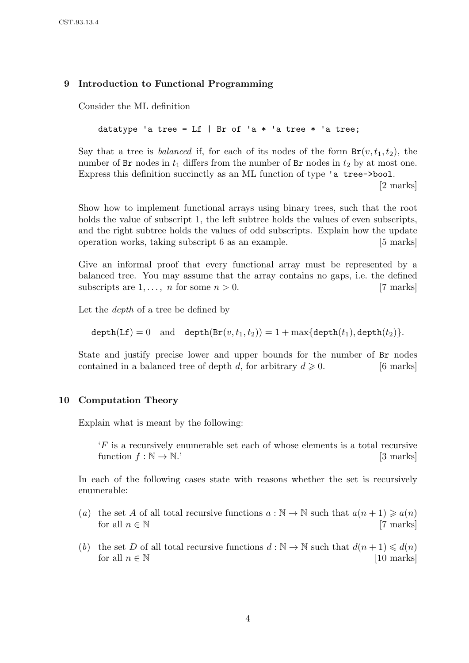## 9 Introduction to Functional Programming

Consider the ML definition

datatype 'a tree = Lf | Br of 'a  $*$  'a tree  $*$  'a tree;

Say that a tree is *balanced* if, for each of its nodes of the form  $Br(v, t_1, t_2)$ , the number of  $Br$  nodes in  $t_1$  differs from the number of  $Br$  nodes in  $t_2$  by at most one. Express this definition succinctly as an ML function of type 'a tree->bool.

[2 marks]

Show how to implement functional arrays using binary trees, such that the root holds the value of subscript 1, the left subtree holds the values of even subscripts, and the right subtree holds the values of odd subscripts. Explain how the update operation works, taking subscript 6 as an example. [5 marks]

Give an informal proof that every functional array must be represented by a balanced tree. You may assume that the array contains no gaps, i.e. the defined subscripts are  $1, \ldots, n$  for some  $n > 0$ . [7 marks]

Let the *depth* of a tree be defined by

 $depth(Lf) = 0$  and  $depth(Br(v, t_1, t_2)) = 1 + max\{depth(t_1), depth(t_2)\}.$ 

State and justify precise lower and upper bounds for the number of Br nodes contained in a balanced tree of depth d, for arbitrary  $d \ge 0$ . [6 marks]

### 10 Computation Theory

Explain what is meant by the following:

'F is a recursively enumerable set each of whose elements is a total recursive function  $f : \mathbb{N} \to \mathbb{N}$ . [3 marks]

In each of the following cases state with reasons whether the set is recursively enumerable:

- (a) the set A of all total recursive functions  $a : \mathbb{N} \to \mathbb{N}$  such that  $a(n+1) \geq a(n)$ for all  $n \in \mathbb{N}$  [7 marks]
- (b) the set D of all total recursive functions  $d : \mathbb{N} \to \mathbb{N}$  such that  $d(n+1) \leq d(n)$ for all  $n \in \mathbb{N}$  [10 marks]